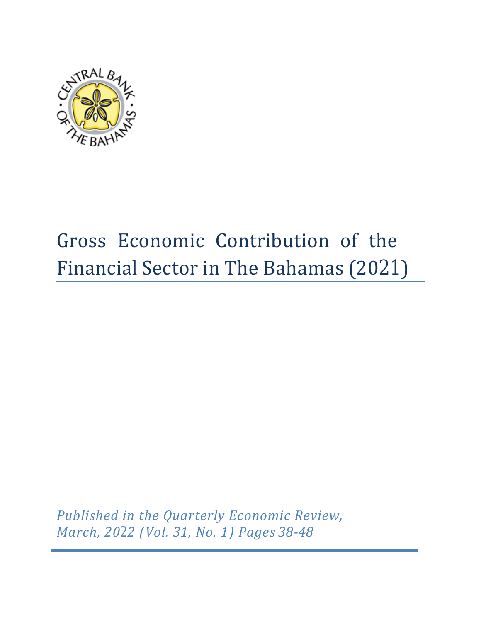

# Gross Economic Contribution of the Financial Sector in The Bahamas (2021)

*Published in the Quarterly Economic Review, March, 2022 (Vol. 31, No. 1) Pages 38-48*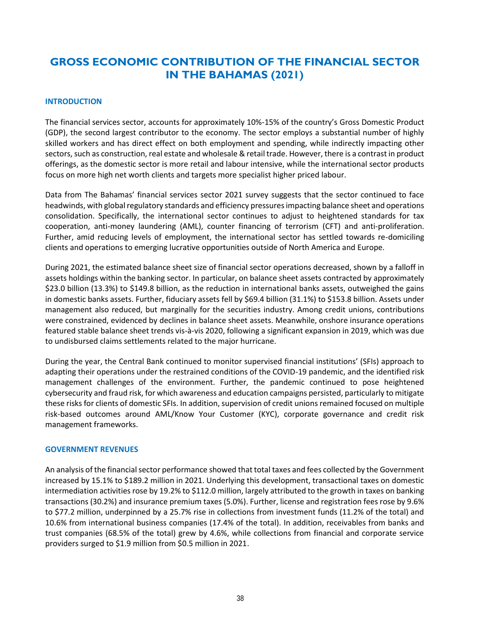# **GROSS ECONOMIC CONTRIBUTION OF THE FINANCIAL SECTOR IN THE BAHAMAS (2021)**

#### **INTRODUCTION**

The financial services sector, accounts for approximately 10%-15% of the country's Gross Domestic Product (GDP), the second largest contributor to the economy. The sector employs a substantial number of highly skilled workers and has direct effect on both employment and spending, while indirectly impacting other sectors, such as construction, real estate and wholesale & retail trade. However, there is a contrast in product offerings, as the domestic sector is more retail and labour intensive, while the international sector products focus on more high net worth clients and targets more specialist higher priced labour.

Data from The Bahamas' financial services sector 2021 survey suggests that the sector continued to face headwinds, with global regulatory standards and efficiency pressures impacting balance sheet and operations consolidation. Specifically, the international sector continues to adjust to heightened standards for tax cooperation, anti-money laundering (AML), counter financing of terrorism (CFT) and anti-proliferation. Further, amid reducing levels of employment, the international sector has settled towards re-domiciling clients and operations to emerging lucrative opportunities outside of North America and Europe.

During 2021, the estimated balance sheet size of financial sector operations decreased, shown by a falloff in assets holdings within the banking sector. In particular, on balance sheet assets contracted by approximately \$23.0 billion (13.3%) to \$149.8 billion, as the reduction in international banks assets, outweighed the gains in domestic banks assets. Further, fiduciary assets fell by \$69.4 billion (31.1%) to \$153.8 billion. Assets under management also reduced, but marginally for the securities industry. Among credit unions, contributions were constrained, evidenced by declines in balance sheet assets. Meanwhile, onshore insurance operations featured stable balance sheet trends vis-à-vis 2020, following a significant expansion in 2019, which was due to undisbursed claims settlements related to the major hurricane.

During the year, the Central Bank continued to monitor supervised financial institutions' (SFIs) approach to adapting their operations under the restrained conditions of the COVID-19 pandemic, and the identified risk management challenges of the environment. Further, the pandemic continued to pose heightened cybersecurity and fraud risk, for which awareness and education campaigns persisted, particularly to mitigate these risks for clients of domestic SFIs. In addition, supervision of credit unions remained focused on multiple risk-based outcomes around AML/Know Your Customer (KYC), corporate governance and credit risk management frameworks.

#### **GOVERNMENT REVENUES**

An analysis of the financial sector performance showed that total taxes and fees collected by the Government increased by 15.1% to \$189.2 million in 2021. Underlying this development, transactional taxes on domestic intermediation activities rose by 19.2% to \$112.0 million, largely attributed to the growth in taxes on banking transactions (30.2%) and insurance premium taxes (5.0%). Further, license and registration fees rose by 9.6% to \$77.2 million, underpinned by a 25.7% rise in collections from investment funds (11.2% of the total) and 10.6% from international business companies (17.4% of the total). In addition, receivables from banks and trust companies (68.5% of the total) grew by 4.6%, while collections from financial and corporate service providers surged to \$1.9 million from \$0.5 million in 2021.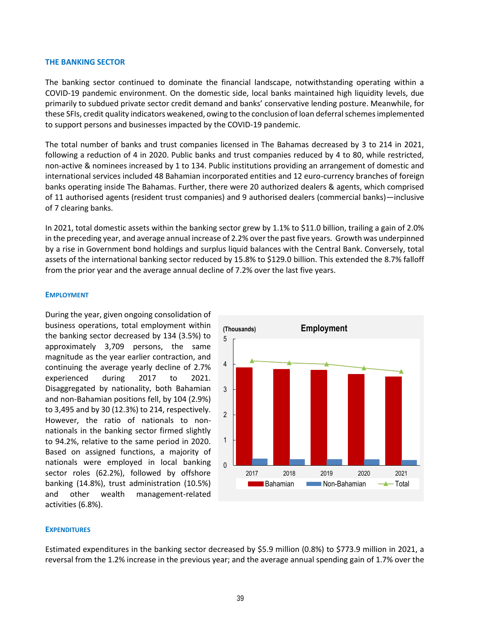#### **THE BANKING SECTOR**

The banking sector continued to dominate the financial landscape, notwithstanding operating within a COVID-19 pandemic environment. On the domestic side, local banks maintained high liquidity levels, due primarily to subdued private sector credit demand and banks' conservative lending posture. Meanwhile, for these SFIs, credit quality indicators weakened, owing to the conclusion of loan deferral schemes implemented to support persons and businesses impacted by the COVID-19 pandemic.

The total number of banks and trust companies licensed in The Bahamas decreased by 3 to 214 in 2021, following a reduction of 4 in 2020. Public banks and trust companies reduced by 4 to 80, while restricted, non-active & nominees increased by 1 to 134. Public institutions providing an arrangement of domestic and international services included 48 Bahamian incorporated entities and 12 euro-currency branches of foreign banks operating inside The Bahamas. Further, there were 20 authorized dealers & agents, which comprised of 11 authorised agents (resident trust companies) and 9 authorised dealers (commercial banks)—inclusive of 7 clearing banks.

In 2021, total domestic assets within the banking sector grew by 1.1% to \$11.0 billion, trailing a gain of 2.0% in the preceding year, and average annual increase of 2.2% over the past five years. Growth was underpinned by a rise in Government bond holdings and surplus liquid balances with the Central Bank. Conversely, total assets of the international banking sector reduced by 15.8% to \$129.0 billion. This extended the 8.7% falloff from the prior year and the average annual decline of 7.2% over the last five years.

#### **EMPLOYMENT**

During the year, given ongoing consolidation of business operations, total employment within the banking sector decreased by 134 (3.5%) to approximately 3,709 persons, the same magnitude as the year earlier contraction, and continuing the average yearly decline of 2.7% experienced during 2017 to 2021. Disaggregated by nationality, both Bahamian and non-Bahamian positions fell, by 104 (2.9%) to 3,495 and by 30 (12.3%) to 214, respectively. However, the ratio of nationals to nonnationals in the banking sector firmed slightly to 94.2%, relative to the same period in 2020. Based on assigned functions, a majority of nationals were employed in local banking sector roles (62.2%), followed by offshore banking (14.8%), trust administration (10.5%) and other wealth management-related activities (6.8%).



#### **EXPENDITURES**

Estimated expenditures in the banking sector decreased by \$5.9 million (0.8%) to \$773.9 million in 2021, a reversal from the 1.2% increase in the previous year; and the average annual spending gain of 1.7% over the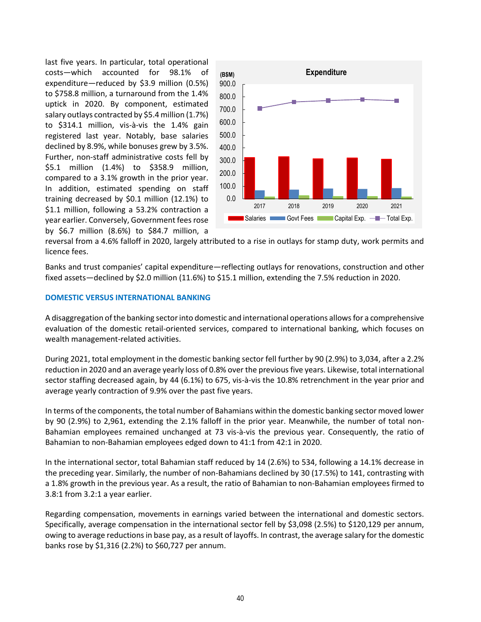last five years. In particular, total operational costs—which accounted for 98.1% of expenditure—reduced by \$3.9 million (0.5%) to \$758.8 million, a turnaround from the 1.4% uptick in 2020. By component, estimated salary outlays contracted by \$5.4 million (1.7%) to \$314.1 million, vis-à-vis the 1.4% gain registered last year. Notably, base salaries declined by 8.9%, while bonuses grew by 3.5%. Further, non-staff administrative costs fell by \$5.1 million (1.4%) to \$358.9 million, compared to a 3.1% growth in the prior year. In addition, estimated spending on staff training decreased by \$0.1 million (12.1%) to \$1.1 million, following a 53.2% contraction a year earlier. Conversely, Government fees rose by \$6.7 million (8.6%) to \$84.7 million, a



reversal from a 4.6% falloff in 2020, largely attributed to a rise in outlays for stamp duty, work permits and licence fees.

Banks and trust companies' capital expenditure—reflecting outlays for renovations, construction and other fixed assets—declined by \$2.0 million (11.6%) to \$15.1 million, extending the 7.5% reduction in 2020.

#### **DOMESTIC VERSUS INTERNATIONAL BANKING**

A disaggregation of the banking sector into domestic and international operations allows for a comprehensive evaluation of the domestic retail-oriented services, compared to international banking, which focuses on wealth management-related activities.

During 2021, total employment in the domestic banking sector fell further by 90 (2.9%) to 3,034, after a 2.2% reduction in 2020 and an average yearly loss of 0.8% over the previous five years. Likewise, total international sector staffing decreased again, by 44 (6.1%) to 675, vis-à-vis the 10.8% retrenchment in the year prior and average yearly contraction of 9.9% over the past five years.

In terms of the components, the total number of Bahamians within the domestic banking sector moved lower by 90 (2.9%) to 2,961, extending the 2.1% falloff in the prior year. Meanwhile, the number of total non-Bahamian employees remained unchanged at 73 vis-à-vis the previous year. Consequently, the ratio of Bahamian to non-Bahamian employees edged down to 41:1 from 42:1 in 2020.

In the international sector, total Bahamian staff reduced by 14 (2.6%) to 534, following a 14.1% decrease in the preceding year. Similarly, the number of non-Bahamians declined by 30 (17.5%) to 141, contrasting with a 1.8% growth in the previous year. As a result, the ratio of Bahamian to non-Bahamian employees firmed to 3.8:1 from 3.2:1 a year earlier.

Regarding compensation, movements in earnings varied between the international and domestic sectors. Specifically, average compensation in the international sector fell by \$3,098 (2.5%) to \$120,129 per annum, owing to average reductions in base pay, as a result of layoffs. In contrast, the average salary for the domestic banks rose by \$1,316 (2.2%) to \$60,727 per annum.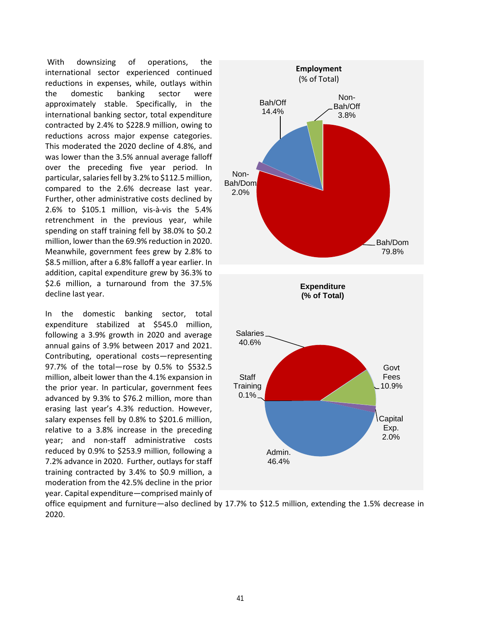With downsizing of operations, the international sector experienced continued reductions in expenses, while, outlays within the domestic banking sector were approximately stable. Specifically, in the international banking sector, total expenditure contracted by 2.4% to \$228.9 million, owing to reductions across major expense categories. This moderated the 2020 decline of 4.8%, and was lower than the 3.5% annual average falloff over the preceding five year period. In particular, salaries fell by 3.2% to \$112.5 million, compared to the 2.6% decrease last year. Further, other administrative costs declined by 2.6% to \$105.1 million, vis-à-vis the 5.4% retrenchment in the previous year, while spending on staff training fell by 38.0% to \$0.2 million, lower than the 69.9% reduction in 2020. Meanwhile, government fees grew by 2.8% to \$8.5 million, after a 6.8% falloff a year earlier. In addition, capital expenditure grew by 36.3% to \$2.6 million, a turnaround from the 37.5% decline last year.

In the domestic banking sector, total expenditure stabilized at \$545.0 million, following a 3.9% growth in 2020 and average annual gains of 3.9% between 2017 and 2021. Contributing, operational costs―representing 97.7% of the total―rose by 0.5% to \$532.5 million, albeit lower than the 4.1% expansion in the prior year. In particular, government fees advanced by 9.3% to \$76.2 million, more than erasing last year's 4.3% reduction. However, salary expenses fell by 0.8% to \$201.6 million, relative to a 3.8% increase in the preceding year; and non-staff administrative costs reduced by 0.9% to \$253.9 million, following a 7.2% advance in 2020. Further, outlays for staff training contracted by 3.4% to \$0.9 million, a moderation from the 42.5% decline in the prior year. Capital expenditure—comprised mainly of



office equipment and furniture—also declined by 17.7% to \$12.5 million, extending the 1.5% decrease in 2020.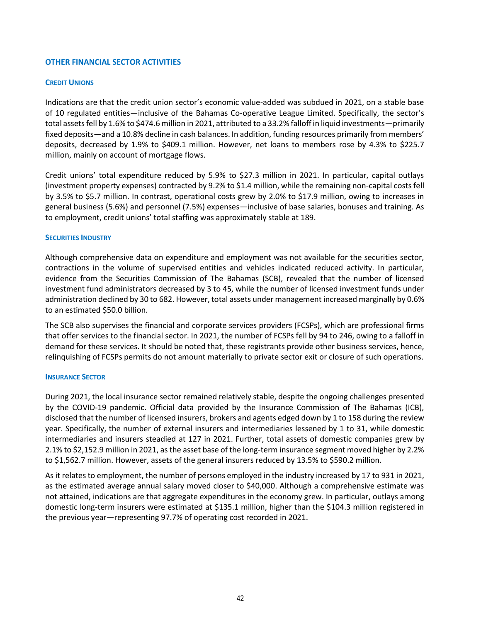#### **OTHER FINANCIAL SECTOR ACTIVITIES**

#### **CREDIT UNIONS**

Indications are that the credit union sector's economic value-added was subdued in 2021, on a stable base of 10 regulated entities—inclusive of the Bahamas Co-operative League Limited. Specifically, the sector's total assets fell by 1.6% to \$474.6 million in 2021, attributed to a 33.2% falloff in liquid investments—primarily fixed deposits—and a 10.8% decline in cash balances. In addition, funding resources primarily from members' deposits, decreased by 1.9% to \$409.1 million. However, net loans to members rose by 4.3% to \$225.7 million, mainly on account of mortgage flows.

Credit unions' total expenditure reduced by 5.9% to \$27.3 million in 2021. In particular, capital outlays (investment property expenses) contracted by 9.2% to \$1.4 million, while the remaining non-capital costs fell by 3.5% to \$5.7 million. In contrast, operational costs grew by 2.0% to \$17.9 million, owing to increases in general business (5.6%) and personnel (7.5%) expenses—inclusive of base salaries, bonuses and training. As to employment, credit unions' total staffing was approximately stable at 189.

#### **SECURITIES INDUSTRY**

Although comprehensive data on expenditure and employment was not available for the securities sector, contractions in the volume of supervised entities and vehicles indicated reduced activity. In particular, evidence from the Securities Commission of The Bahamas (SCB), revealed that the number of licensed investment fund administrators decreased by 3 to 45, while the number of licensed investment funds under administration declined by 30 to 682. However, total assets under management increased marginally by 0.6% to an estimated \$50.0 billion.

The SCB also supervises the financial and corporate services providers (FCSPs), which are professional firms that offer services to the financial sector. In 2021, the number of FCSPs fell by 94 to 246, owing to a falloff in demand for these services. It should be noted that, these registrants provide other business services, hence, relinquishing of FCSPs permits do not amount materially to private sector exit or closure of such operations.

#### **INSURANCE SECTOR**

During 2021, the local insurance sector remained relatively stable, despite the ongoing challenges presented by the COVID-19 pandemic. Official data provided by the Insurance Commission of The Bahamas (ICB), disclosed that the number of licensed insurers, brokers and agents edged down by 1 to 158 during the review year. Specifically, the number of external insurers and intermediaries lessened by 1 to 31, while domestic intermediaries and insurers steadied at 127 in 2021. Further, total assets of domestic companies grew by 2.1% to \$2,152.9 million in 2021, as the asset base of the long-term insurance segment moved higher by 2.2% to \$1,562.7 million. However, assets of the general insurers reduced by 13.5% to \$590.2 million.

As it relates to employment, the number of persons employed in the industry increased by 17 to 931 in 2021, as the estimated average annual salary moved closer to \$40,000. Although a comprehensive estimate was not attained, indications are that aggregate expenditures in the economy grew. In particular, outlays among domestic long-term insurers were estimated at \$135.1 million, higher than the \$104.3 million registered in the previous year—representing 97.7% of operating cost recorded in 2021.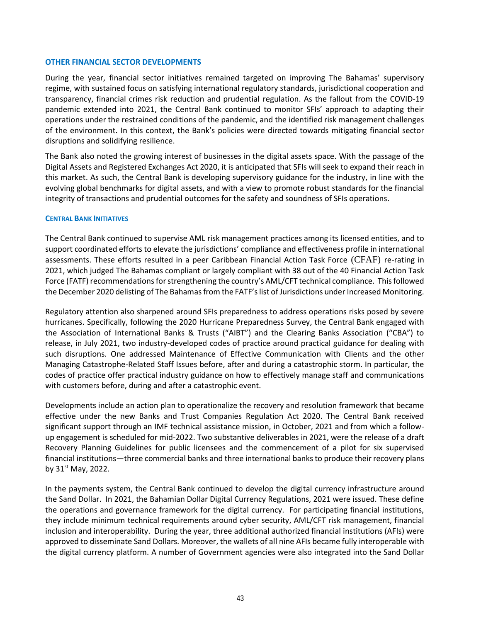#### **OTHER FINANCIAL SECTOR DEVELOPMENTS**

During the year, financial sector initiatives remained targeted on improving The Bahamas' supervisory regime, with sustained focus on satisfying international regulatory standards, jurisdictional cooperation and transparency, financial crimes risk reduction and prudential regulation. As the fallout from the COVID-19 pandemic extended into 2021, the Central Bank continued to monitor SFIs' approach to adapting their operations under the restrained conditions of the pandemic, and the identified risk management challenges of the environment. In this context, the Bank's policies were directed towards mitigating financial sector disruptions and solidifying resilience.

The Bank also noted the growing interest of businesses in the digital assets space. With the passage of the Digital Assets and Registered Exchanges Act 2020, it is anticipated that SFIs will seek to expand their reach in this market. As such, the Central Bank is developing supervisory guidance for the industry, in line with the evolving global benchmarks for digital assets, and with a view to promote robust standards for the financial integrity of transactions and prudential outcomes for the safety and soundness of SFIs operations.

#### **CENTRAL BANK INITIATIVES**

The Central Bank continued to supervise AML risk management practices among its licensed entities, and to support coordinated efforts to elevate the jurisdictions' compliance and effectiveness profile in international assessments. These efforts resulted in a peer Caribbean Financial Action Task Force (CFAF) re-rating in 2021, which judged The Bahamas compliant or largely compliant with 38 out of the 40 Financial Action Task Force (FATF) recommendations for strengthening the country's AML/CFT technical compliance. This followed the December 2020 delisting of The Bahamas from the FATF's list of Jurisdictions under Increased Monitoring.

Regulatory attention also sharpened around SFIs preparedness to address operations risks posed by severe hurricanes. Specifically, following the 2020 Hurricane Preparedness Survey, the Central Bank engaged with the Association of International Banks & Trusts ("AIBT") and the Clearing Banks Association ("CBA") to release, in July 2021, two industry-developed codes of practice around practical guidance for dealing with such disruptions. One addressed Maintenance of Effective Communication with Clients and the other Managing Catastrophe-Related Staff Issues before, after and during a catastrophic storm. In particular, the codes of practice offer practical industry guidance on how to effectively manage staff and communications with customers before, during and after a catastrophic event.

Developments include an action plan to operationalize the recovery and resolution framework that became effective under the new Banks and Trust Companies Regulation Act 2020. The Central Bank received significant support through an IMF technical assistance mission, in October, 2021 and from which a followup engagement is scheduled for mid-2022. Two substantive deliverables in 2021, were the release of a draft Recovery Planning Guidelines for public licensees and the commencement of a pilot for six supervised financial institutions—three commercial banks and three international banks to produce their recovery plans by  $31<sup>st</sup>$  May, 2022.

In the payments system, the Central Bank continued to develop the digital currency infrastructure around the Sand Dollar. In 2021, the Bahamian Dollar Digital Currency Regulations, 2021 were issued. These define the operations and governance framework for the digital currency. For participating financial institutions, they include minimum technical requirements around cyber security, AML/CFT risk management, financial inclusion and interoperability. During the year, three additional authorized financial institutions (AFIs) were approved to disseminate Sand Dollars. Moreover, the wallets of all nine AFIs became fully interoperable with the digital currency platform. A number of Government agencies were also integrated into the Sand Dollar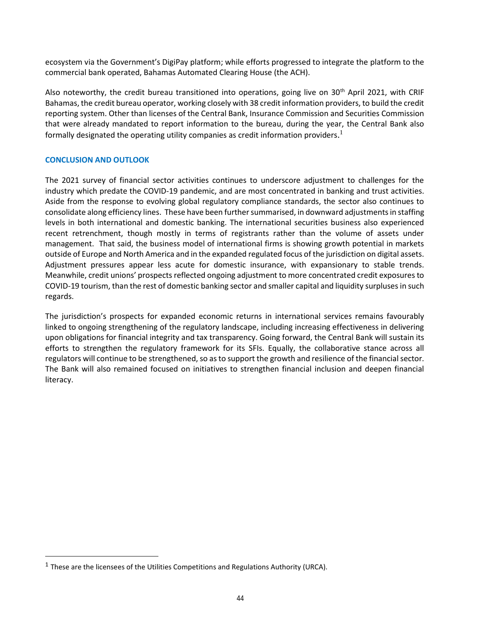ecosystem via the Government's DigiPay platform; while efforts progressed to integrate the platform to the commercial bank operated, Bahamas Automated Clearing House (the ACH).

Also noteworthy, the credit bureau transitioned into operations, going live on  $30<sup>th</sup>$  April 2021, with CRIF Bahamas, the credit bureau operator, working closely with 38 credit information providers, to build the credit reporting system. Other than licenses of the Central Bank, Insurance Commission and Securities Commission that were already mandated to report information to the bureau, during the year, the Central Bank also formally designated the operating utility companies as credit information providers.<sup>1</sup>

#### **CONCLUSION AND OUTLOOK**

 $\overline{a}$ 

The 2021 survey of financial sector activities continues to underscore adjustment to challenges for the industry which predate the COVID-19 pandemic, and are most concentrated in banking and trust activities. Aside from the response to evolving global regulatory compliance standards, the sector also continues to consolidate along efficiency lines. These have been further summarised, in downward adjustments in staffing levels in both international and domestic banking. The international securities business also experienced recent retrenchment, though mostly in terms of registrants rather than the volume of assets under management. That said, the business model of international firms is showing growth potential in markets outside of Europe and North America and in the expanded regulated focus of the jurisdiction on digital assets. Adjustment pressures appear less acute for domestic insurance, with expansionary to stable trends. Meanwhile, credit unions' prospects reflected ongoing adjustment to more concentrated credit exposures to COVID-19 tourism, than the rest of domestic banking sector and smaller capital and liquidity surpluses in such regards.

The jurisdiction's prospects for expanded economic returns in international services remains favourably linked to ongoing strengthening of the regulatory landscape, including increasing effectiveness in delivering upon obligations for financial integrity and tax transparency. Going forward, the Central Bank will sustain its efforts to strengthen the regulatory framework for its SFIs. Equally, the collaborative stance across all regulators will continue to be strengthened, so as to support the growth and resilience of the financial sector. The Bank will also remained focused on initiatives to strengthen financial inclusion and deepen financial literacy.

 $<sup>1</sup>$  These are the licensees of the Utilities Competitions and Regulations Authority (URCA).</sup>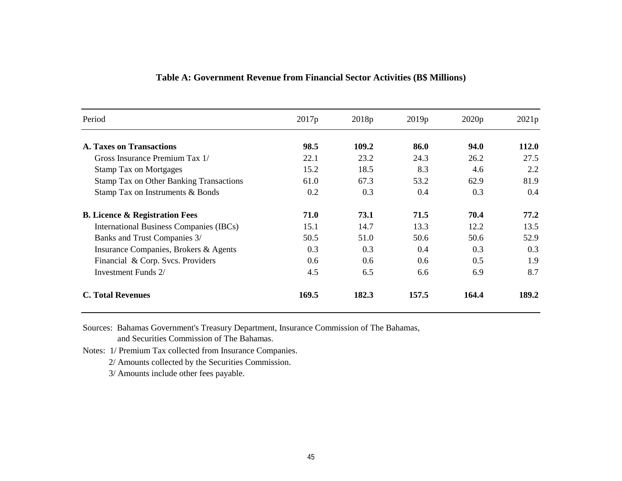| Period                                         | 2017p | 2018 <sub>p</sub> | 2019p | 2020p | 2021p |
|------------------------------------------------|-------|-------------------|-------|-------|-------|
| <b>A. Taxes on Transactions</b>                | 98.5  | 109.2             | 86.0  | 94.0  | 112.0 |
| Gross Insurance Premium Tax 1/                 | 22.1  | 23.2              | 24.3  | 26.2  | 27.5  |
| <b>Stamp Tax on Mortgages</b>                  | 15.2  | 18.5              | 8.3   | 4.6   | 2.2   |
| <b>Stamp Tax on Other Banking Transactions</b> | 61.0  | 67.3              | 53.2  | 62.9  | 81.9  |
| Stamp Tax on Instruments & Bonds               | 0.2   | 0.3               | 0.4   | 0.3   | 0.4   |
| <b>B.</b> Licence & Registration Fees          | 71.0  | 73.1              | 71.5  | 70.4  | 77.2  |
| International Business Companies (IBCs)        | 15.1  | 14.7              | 13.3  | 12.2  | 13.5  |
| Banks and Trust Companies 3/                   | 50.5  | 51.0              | 50.6  | 50.6  | 52.9  |
| Insurance Companies, Brokers & Agents          | 0.3   | 0.3               | 0.4   | 0.3   | 0.3   |
| Financial & Corp. Svcs. Providers              | 0.6   | 0.6               | 0.6   | 0.5   | 1.9   |
| Investment Funds 2/                            | 4.5   | 6.5               | 6.6   | 6.9   | 8.7   |
| <b>C. Total Revenues</b>                       | 169.5 | 182.3             | 157.5 | 164.4 | 189.2 |

## **Table A: Government Revenue from Financial Sector Activities (B\$ Millions)**

Sources: Bahamas Government's Treasury Department, Insurance Commission of The Bahamas,

and Securities Commission of The Bahamas.

Notes: 1/ Premium Tax collected from Insurance Companies.

2/ Amounts collected by the Securities Commission.

3/ Amounts include other fees payable.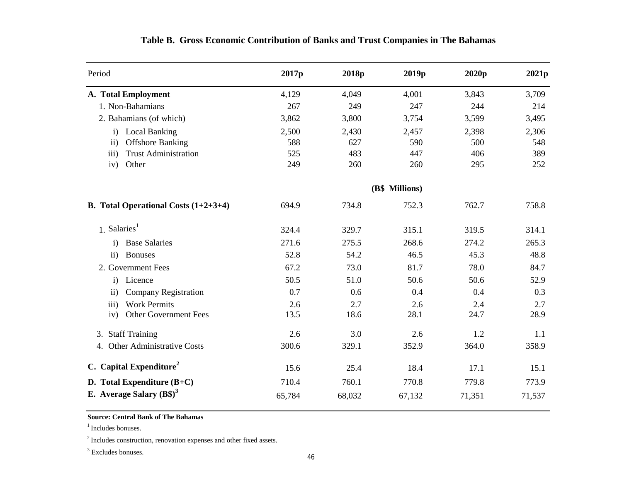| Period                                        | 2017 <sub>p</sub> | 2018p  | 2019 <sub>p</sub> | 2020p  | 2021p  |
|-----------------------------------------------|-------------------|--------|-------------------|--------|--------|
| A. Total Employment                           | 4,129             | 4,049  | 4,001             | 3,843  | 3,709  |
| 1. Non-Bahamians                              | 267               | 249    | 247               | 244    | 214    |
| 2. Bahamians (of which)                       | 3,862             | 3,800  | 3,754             | 3,599  | 3,495  |
| <b>Local Banking</b><br>$\mathbf{i}$          | 2,500             | 2,430  | 2,457             | 2,398  | 2,306  |
| <b>Offshore Banking</b><br>$\mathbf{ii}$      | 588               | 627    | 590               | 500    | 548    |
| <b>Trust Administration</b><br>iii)           | 525               | 483    | 447               | 406    | 389    |
| Other<br>iv)                                  | 249               | 260    | 260               | 295    | 252    |
|                                               |                   |        |                   |        |        |
| <b>B.</b> Total Operational Costs $(1+2+3+4)$ | 694.9             | 734.8  | 752.3             | 762.7  | 758.8  |
| 1. Salaries <sup>1</sup>                      | 324.4             | 329.7  | 315.1             | 319.5  | 314.1  |
| <b>Base Salaries</b><br>$\mathbf{i}$          | 271.6             | 275.5  | 268.6             | 274.2  | 265.3  |
| <b>Bonuses</b><br>$\rm ii)$                   | 52.8              | 54.2   | 46.5              | 45.3   | 48.8   |
| 2. Government Fees                            | 67.2              | 73.0   | 81.7              | 78.0   | 84.7   |
| Licence<br>$\mathbf{i}$                       | 50.5              | 51.0   | 50.6              | 50.6   | 52.9   |
| <b>Company Registration</b><br>$\mathbf{ii}$  | 0.7               | 0.6    | 0.4               | 0.4    | 0.3    |
| <b>Work Permits</b><br>iii)                   | 2.6               | 2.7    | 2.6               | 2.4    | 2.7    |
| <b>Other Government Fees</b><br>iv)           | 13.5              | 18.6   | 28.1              | 24.7   | 28.9   |
| 3. Staff Training                             | 2.6               | 3.0    | 2.6               | 1.2    | 1.1    |
| 4. Other Administrative Costs                 | 300.6             | 329.1  | 352.9             | 364.0  | 358.9  |
| C. Capital Expenditure <sup>2</sup>           | 15.6              | 25.4   | 18.4              | 17.1   | 15.1   |
| D. Total Expenditure $(B+C)$                  | 710.4             | 760.1  | 770.8             | 779.8  | 773.9  |
| E. Average Salary $(B\$ <sup>3</sup>          | 65,784            | 68,032 | 67,132            | 71,351 | 71,537 |

# **Table B. Gross Economic Contribution of Banks and Trust Companies in The Bahamas**

### **Source: Central Bank of The Bahamas**

 $1$ Includes bonuses.

<sup>2</sup> Includes construction, renovation expenses and other fixed assets.

<sup>3</sup> Excludes bonuses.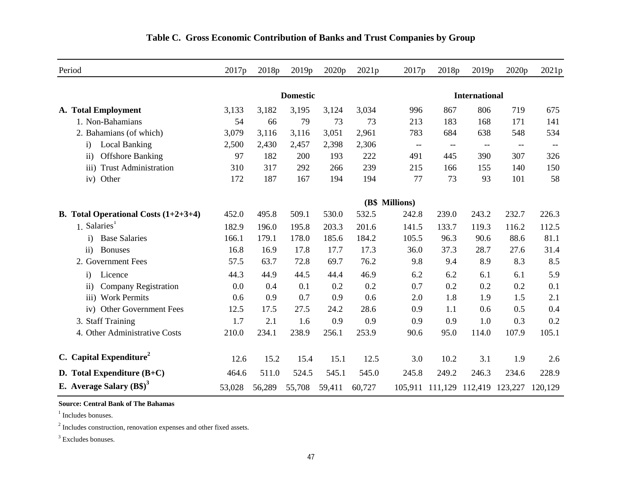| Period                                          | 2017 <sub>p</sub> | 2018p  | 2019p  | 2020 <sub>p</sub> | 2021p                | 2017p                                               | 2018p                    | 2019p                           | 2020p                    | 2021p                                               |
|-------------------------------------------------|-------------------|--------|--------|-------------------|----------------------|-----------------------------------------------------|--------------------------|---------------------------------|--------------------------|-----------------------------------------------------|
|                                                 | <b>Domestic</b>   |        |        |                   | <b>International</b> |                                                     |                          |                                 |                          |                                                     |
| A. Total Employment                             | 3,133             | 3,182  | 3,195  | 3,124             | 3,034                | 996                                                 | 867                      | 806                             | 719                      | 675                                                 |
| 1. Non-Bahamians                                | 54                | 66     | 79     | 73                | 73                   | 213                                                 | 183                      | 168                             | 171                      | 141                                                 |
| 2. Bahamians (of which)                         | 3,079             | 3,116  | 3,116  | 3,051             | 2,961                | 783                                                 | 684                      | 638                             | 548                      | 534                                                 |
| <b>Local Banking</b><br>$\mathbf{i}$            | 2,500             | 2,430  | 2,457  | 2,398             | 2,306                | $\hspace{0.05cm} -\hspace{0.05cm} -\hspace{0.05cm}$ | $\overline{\phantom{m}}$ | $-\!$                           | $\hspace{0.05cm} \ldots$ | $\hspace{0.05cm} -\hspace{0.05cm} -\hspace{0.05cm}$ |
| <b>Offshore Banking</b><br>$\overline{ii}$ )    | 97                | 182    | 200    | 193               | 222                  | 491                                                 | 445                      | 390                             | 307                      | 326                                                 |
| <b>Trust Administration</b><br>$\overline{iii}$ | 310               | 317    | 292    | 266               | 239                  | 215                                                 | 166                      | 155                             | 140                      | 150                                                 |
| Other<br>iv)                                    | 172               | 187    | 167    | 194               | 194                  | 77                                                  | 73                       | 93                              | 101                      | 58                                                  |
|                                                 | (B\$ Millions)    |        |        |                   |                      |                                                     |                          |                                 |                          |                                                     |
| <b>B.</b> Total Operational Costs $(1+2+3+4)$   | 452.0             | 495.8  | 509.1  | 530.0             | 532.5                | 242.8                                               | 239.0                    | 243.2                           | 232.7                    | 226.3                                               |
| 1. Salaries <sup>1</sup>                        | 182.9             | 196.0  | 195.8  | 203.3             | 201.6                | 141.5                                               | 133.7                    | 119.3                           | 116.2                    | 112.5                                               |
| <b>Base Salaries</b><br>$\mathbf{i}$            | 166.1             | 179.1  | 178.0  | 185.6             | 184.2                | 105.5                                               | 96.3                     | 90.6                            | 88.6                     | 81.1                                                |
| ii)<br><b>Bonuses</b>                           | 16.8              | 16.9   | 17.8   | 17.7              | 17.3                 | 36.0                                                | 37.3                     | 28.7                            | 27.6                     | 31.4                                                |
| 2. Government Fees                              | 57.5              | 63.7   | 72.8   | 69.7              | 76.2                 | 9.8                                                 | 9.4                      | 8.9                             | 8.3                      | 8.5                                                 |
| Licence<br>$\mathbf{i}$                         | 44.3              | 44.9   | 44.5   | 44.4              | 46.9                 | 6.2                                                 | 6.2                      | 6.1                             | 6.1                      | 5.9                                                 |
| <b>Company Registration</b><br>$\mathbf{ii}$    | 0.0               | 0.4    | 0.1    | 0.2               | 0.2                  | 0.7                                                 | 0.2                      | 0.2                             | 0.2                      | 0.1                                                 |
| iii) Work Permits                               | 0.6               | 0.9    | 0.7    | 0.9               | 0.6                  | 2.0                                                 | 1.8                      | 1.9                             | 1.5                      | 2.1                                                 |
| <b>Other Government Fees</b><br>iv)             | 12.5              | 17.5   | 27.5   | 24.2              | 28.6                 | 0.9                                                 | 1.1                      | 0.6                             | 0.5                      | 0.4                                                 |
| 3. Staff Training                               | 1.7               | 2.1    | 1.6    | 0.9               | 0.9                  | 0.9                                                 | 0.9                      | 1.0                             | 0.3                      | 0.2                                                 |
| 4. Other Administrative Costs                   | 210.0             | 234.1  | 238.9  | 256.1             | 253.9                | 90.6                                                | 95.0                     | 114.0                           | 107.9                    | 105.1                                               |
| C. Capital Expenditure <sup>2</sup>             | 12.6              | 15.2   | 15.4   | 15.1              | 12.5                 | 3.0                                                 | 10.2                     | 3.1                             | 1.9                      | 2.6                                                 |
| D. Total Expenditure $(B+C)$                    | 464.6             | 511.0  | 524.5  | 545.1             | 545.0                | 245.8                                               | 249.2                    | 246.3                           | 234.6                    | 228.9                                               |
| E. Average Salary $(B\$ )^3                     | 53,028            | 56,289 | 55,708 | 59,411            | 60,727               |                                                     |                          | 105,911 111,129 112,419 123,227 |                          | 120,129                                             |

# **Table C. Gross Economic Contribution of Banks and Trust Companies by Group**

#### **Source: Central Bank of The Bahamas**

<sup>1</sup> Includes bonuses.

 $2$  Includes construction, renovation expenses and other fixed assets.

<sup>3</sup> Excludes bonuses.